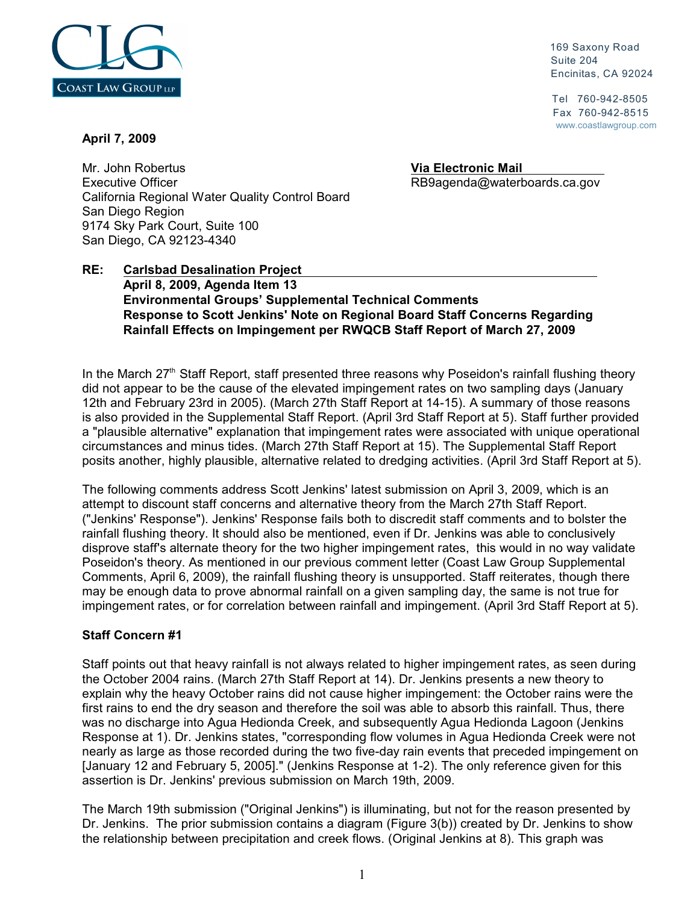

 169 Saxony Road Suite 204 Encinitas, CA 92024

 Tel 760-942-8505 Fax 760-942-8515 www.coastlawgroup.com

### **April 7, 2009**

Mr. John Robertus **Via Electronic Mail**  Executive Officer **Executive Officer** RB9agenda@waterboards.ca.gov California Regional Water Quality Control Board San Diego Region 9174 Sky Park Court, Suite 100 San Diego, CA 92123-4340

## **RE: Carlsbad Desalination Project April 8, 2009, Agenda Item 13 Environmental Groups' Supplemental Technical Comments Response to Scott Jenkins' Note on Regional Board Staff Concerns Regarding Rainfall Effects on Impingement per RWQCB Staff Report of March 27, 2009**

In the March  $27<sup>th</sup>$  Staff Report, staff presented three reasons why Poseidon's rainfall flushing theory did not appear to be the cause of the elevated impingement rates on two sampling days (January 12th and February 23rd in 2005). (March 27th Staff Report at 14-15). A summary of those reasons is also provided in the Supplemental Staff Report. (April 3rd Staff Report at 5). Staff further provided a "plausible alternative" explanation that impingement rates were associated with unique operational circumstances and minus tides. (March 27th Staff Report at 15). The Supplemental Staff Report posits another, highly plausible, alternative related to dredging activities. (April 3rd Staff Report at 5).

The following comments address Scott Jenkins' latest submission on April 3, 2009, which is an attempt to discount staff concerns and alternative theory from the March 27th Staff Report. ("Jenkins' Response"). Jenkins' Response fails both to discredit staff comments and to bolster the rainfall flushing theory. It should also be mentioned, even if Dr. Jenkins was able to conclusively disprove staff's alternate theory for the two higher impingement rates, this would in no way validate Poseidon's theory. As mentioned in our previous comment letter (Coast Law Group Supplemental Comments, April 6, 2009), the rainfall flushing theory is unsupported. Staff reiterates, though there may be enough data to prove abnormal rainfall on a given sampling day, the same is not true for impingement rates, or for correlation between rainfall and impingement. (April 3rd Staff Report at 5).

# **Staff Concern #1**

Staff points out that heavy rainfall is not always related to higher impingement rates, as seen during the October 2004 rains. (March 27th Staff Report at 14). Dr. Jenkins presents a new theory to explain why the heavy October rains did not cause higher impingement: the October rains were the first rains to end the dry season and therefore the soil was able to absorb this rainfall. Thus, there was no discharge into Agua Hedionda Creek, and subsequently Agua Hedionda Lagoon (Jenkins Response at 1). Dr. Jenkins states, "corresponding flow volumes in Agua Hedionda Creek were not nearly as large as those recorded during the two five-day rain events that preceded impingement on [January 12 and February 5, 2005]." (Jenkins Response at 1-2). The only reference given for this assertion is Dr. Jenkins' previous submission on March 19th, 2009.

The March 19th submission ("Original Jenkins") is illuminating, but not for the reason presented by Dr. Jenkins. The prior submission contains a diagram (Figure 3(b)) created by Dr. Jenkins to show the relationship between precipitation and creek flows. (Original Jenkins at 8). This graph was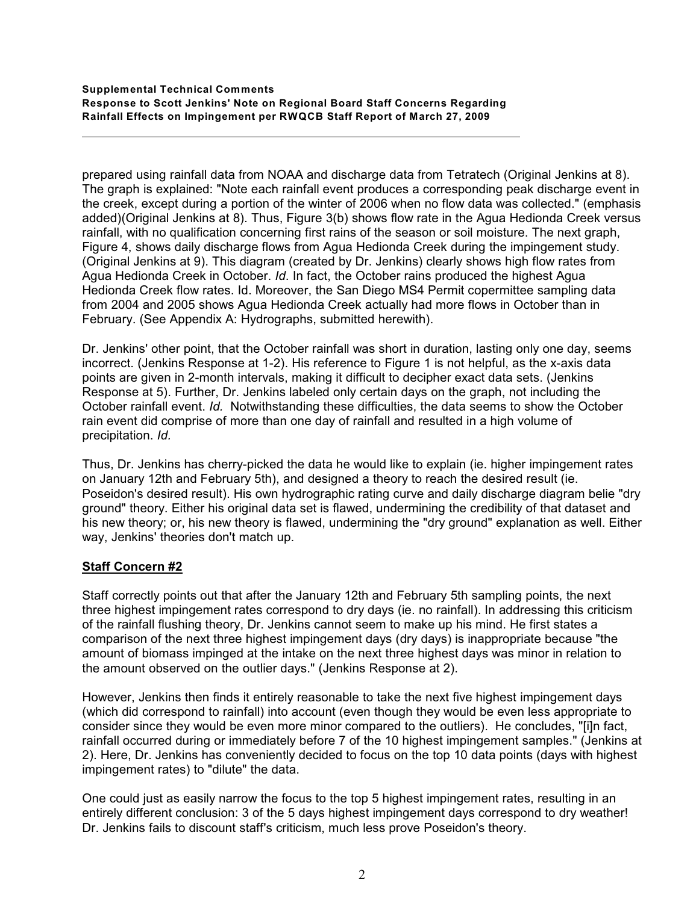#### **Supplemental Technical Comments Response to Scott Jenkins' Note on Regional Board Staff Concerns Regarding Rainfall Effects on Impingement per RWQCB Staff Report of March 27, 2009**

prepared using rainfall data from NOAA and discharge data from Tetratech (Original Jenkins at 8). The graph is explained: "Note each rainfall event produces a corresponding peak discharge event in the creek, except during a portion of the winter of 2006 when no flow data was collected." (emphasis added)(Original Jenkins at 8). Thus, Figure 3(b) shows flow rate in the Agua Hedionda Creek versus rainfall, with no qualification concerning first rains of the season or soil moisture. The next graph, Figure 4, shows daily discharge flows from Agua Hedionda Creek during the impingement study. (Original Jenkins at 9). This diagram (created by Dr. Jenkins) clearly shows high flow rates from Agua Hedionda Creek in October. *Id*. In fact, the October rains produced the highest Agua Hedionda Creek flow rates. Id. Moreover, the San Diego MS4 Permit copermittee sampling data from 2004 and 2005 shows Agua Hedionda Creek actually had more flows in October than in February. (See Appendix A: Hydrographs, submitted herewith).

Dr. Jenkins' other point, that the October rainfall was short in duration, lasting only one day, seems incorrect. (Jenkins Response at 1-2). His reference to Figure 1 is not helpful, as the x-axis data points are given in 2-month intervals, making it difficult to decipher exact data sets. (Jenkins Response at 5). Further, Dr. Jenkins labeled only certain days on the graph, not including the October rainfall event. *Id.* Notwithstanding these difficulties, the data seems to show the October rain event did comprise of more than one day of rainfall and resulted in a high volume of precipitation. *Id.*

Thus, Dr. Jenkins has cherry-picked the data he would like to explain (ie. higher impingement rates on January 12th and February 5th), and designed a theory to reach the desired result (ie. Poseidon's desired result). His own hydrographic rating curve and daily discharge diagram belie "dry ground" theory. Either his original data set is flawed, undermining the credibility of that dataset and his new theory; or, his new theory is flawed, undermining the "dry ground" explanation as well. Either way, Jenkins' theories don't match up.

# **Staff Concern #2**

 $\overline{a}$ 

Staff correctly points out that after the January 12th and February 5th sampling points, the next three highest impingement rates correspond to dry days (ie. no rainfall). In addressing this criticism of the rainfall flushing theory, Dr. Jenkins cannot seem to make up his mind. He first states a comparison of the next three highest impingement days (dry days) is inappropriate because "the amount of biomass impinged at the intake on the next three highest days was minor in relation to the amount observed on the outlier days." (Jenkins Response at 2).

However, Jenkins then finds it entirely reasonable to take the next five highest impingement days (which did correspond to rainfall) into account (even though they would be even less appropriate to consider since they would be even more minor compared to the outliers). He concludes, "[i]n fact, rainfall occurred during or immediately before 7 of the 10 highest impingement samples." (Jenkins at 2). Here, Dr. Jenkins has conveniently decided to focus on the top 10 data points (days with highest impingement rates) to "dilute" the data.

One could just as easily narrow the focus to the top 5 highest impingement rates, resulting in an entirely different conclusion: 3 of the 5 days highest impingement days correspond to dry weather! Dr. Jenkins fails to discount staff's criticism, much less prove Poseidon's theory.